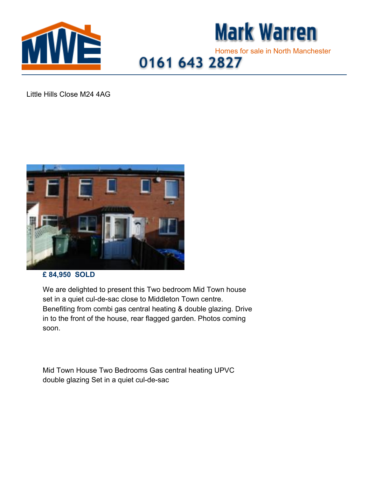



Little Hills Close M24 4AG



## **£ 84,950 SOLD**

We are delighted to present this Two bedroom Mid Town house set in a quiet cul-de-sac close to Middleton Town centre. Benefiting from combi gas central heating & double glazing. Drive in to the front of the house, rear flagged garden. Photos coming soon.

Mid Town House Two Bedrooms Gas central heating UPVC double glazing Set in a quiet cul-de-sac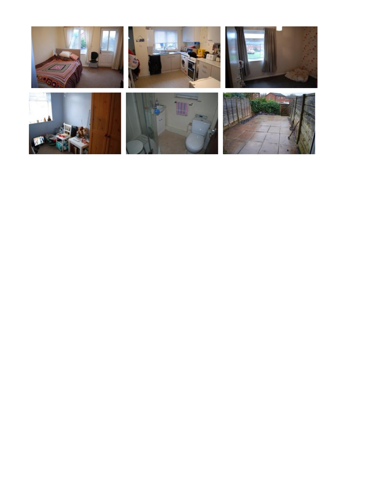